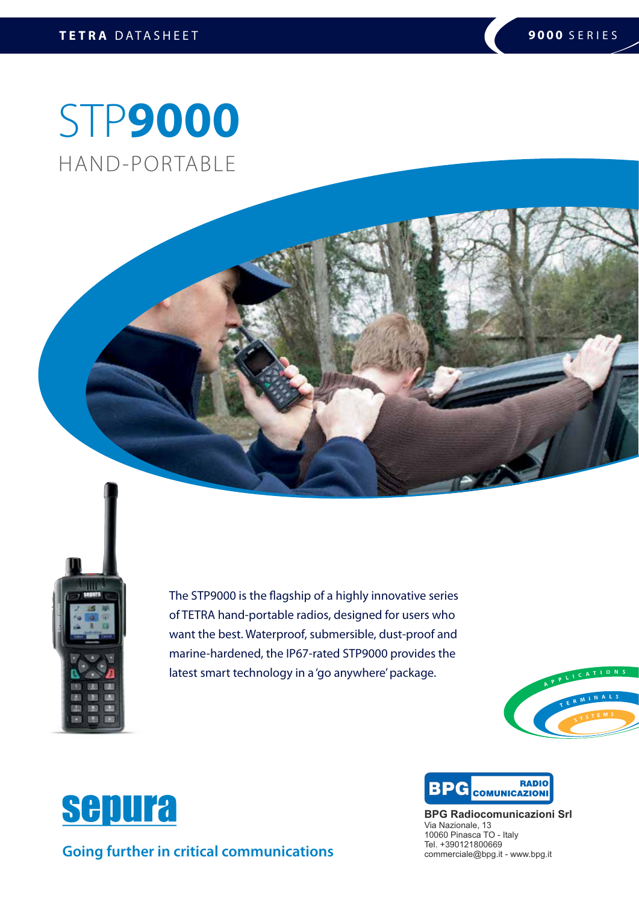# STP**9000** HAND-PORTABLE



The STP9000 is the flagship of a highly innovative series of TETRA hand-portable radios, designed for users who want the best. Waterproof, submersible, dust-proof and marine-hardened, the IP67-rated STP9000 provides the latest smart technology in a 'go anywhere' package.





BPC COMUNICAZIONI **RADIO** 

**BPG Radiocomunicazioni Srl** Via Nazionale, 13 10060 Pinasca TO - Italy Tel. +390121800669 commerciale@bpg.it - www.bpg.it



**Going further in critical communications**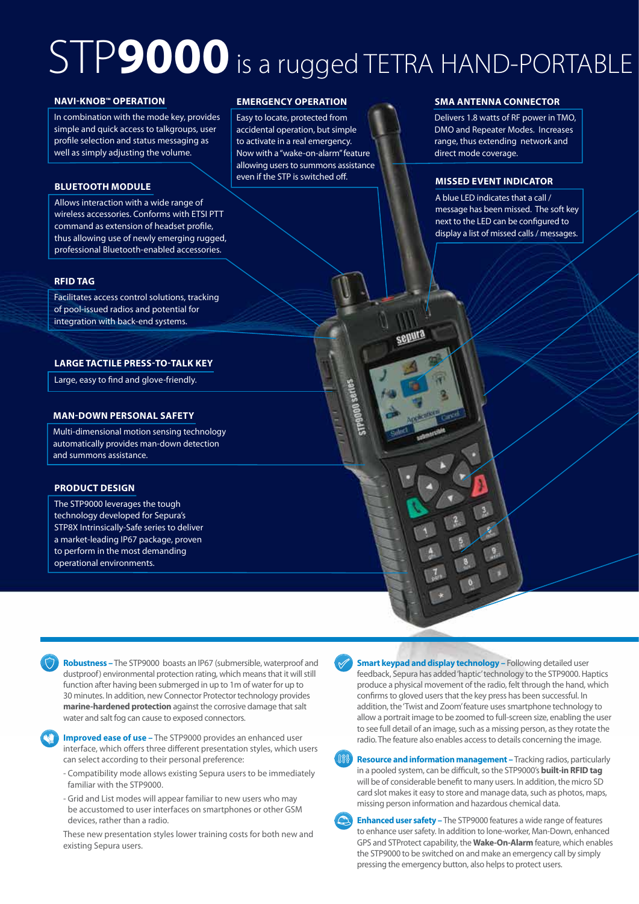# STP**9000** is a rugged TETRA HAND-PORTABLE

### **NAVI-KNOB™ OPERATION**

In combination with the mode key, provides simple and quick access to talkgroups, user profile selection and status messaging as well as simply adjusting the volume.

### **BLUETOOTH MODULE**

Allows interaction with a wide range of wireless accessories. Conforms with ETSI PTT command as extension of headset profile, thus allowing use of newly emerging rugged, professional Bluetooth-enabled accessories.

### **RFID TAG**

Facilitates access control solutions, tracking of pool-issued radios and potential for integration with back-end systems.

### **LARGE TACTILE PRESS-TO-TALK KEY**

Large, easy to find and glove-friendly.

### **MAN-DOWN PERSONAL SAFETY**

Multi-dimensional motion sensing technology automatically provides man-down detection and summons assistance.

### **PRODUCT DESIGN**

The STP9000 leverages the tough technology developed for Sepura's STP8X Intrinsically-Safe series to deliver a market-leading IP67 package, proven to perform in the most demanding operational environments.

### **EMERGENCY OPERATION**

Easy to locate, protected from accidental operation, but simple to activate in a real emergency. Now with a "wake-on-alarm" feature allowing users to summons assistance even if the STP is switched off.

### **SMA ANTENNA CONNECTOR**

Delivers 1.8 watts of RF power in TMO, DMO and Repeater Modes. Increases range, thus extending network and direct mode coverage.

### **MISSED EVENT INDICATOR**

sepura

A blue LED indicates that a call / message has been missed. The soft key next to the LED can be configured to display a list of missed calls / messages.

**Robustness –** The STP9000 boasts an IP67 (submersible, waterproof and dustproof) environmental protection rating, which means that it will still function after having been submerged in up to 1m of water for up to 30 minutes. In addition, new Connector Protector technology provides **marine-hardened protection** against the corrosive damage that salt water and salt fog can cause to exposed connectors.



**Improved ease of use –** The STP9000 provides an enhanced user interface, which offers three different presentation styles, which users can select according to their personal preference:

- Compatibility mode allows existing Sepura users to be immediately familiar with the STP9000.
- Grid and List modes will appear familiar to new users who may be accustomed to user interfaces on smartphones or other GSM devices, rather than a radio.

These new presentation styles lower training costs for both new and existing Sepura users.

**Smart keypad and display technology – Following detailed user** feedback, Sepura has added 'haptic' technology to the STP9000. Haptics produce a physical movement of the radio, felt through the hand, which confirms to gloved users that the key press has been successful. In addition, the 'Twist and Zoom' feature uses smartphone technology to allow a portrait image to be zoomed to full-screen size, enabling the user to see full detail of an image, such as a missing person, as they rotate the radio. The feature also enables access to details concerning the image.

**Resource and information management –** Tracking radios, particularly in a pooled system, can be difficult, so the STP9000's **built-in RFID tag** will be of considerable benefit to many users. In addition, the micro SD card slot makes it easy to store and manage data, such as photos, maps, missing person information and hazardous chemical data.

**Enhanced user safety –** The STP9000 features a wide range of features to enhance user safety. In addition to lone-worker, Man-Down, enhanced GPS and STProtect capability, the **Wake-On-Alarm** feature, which enables the STP9000 to be switched on and make an emergency call by simply pressing the emergency button, also helps to protect users.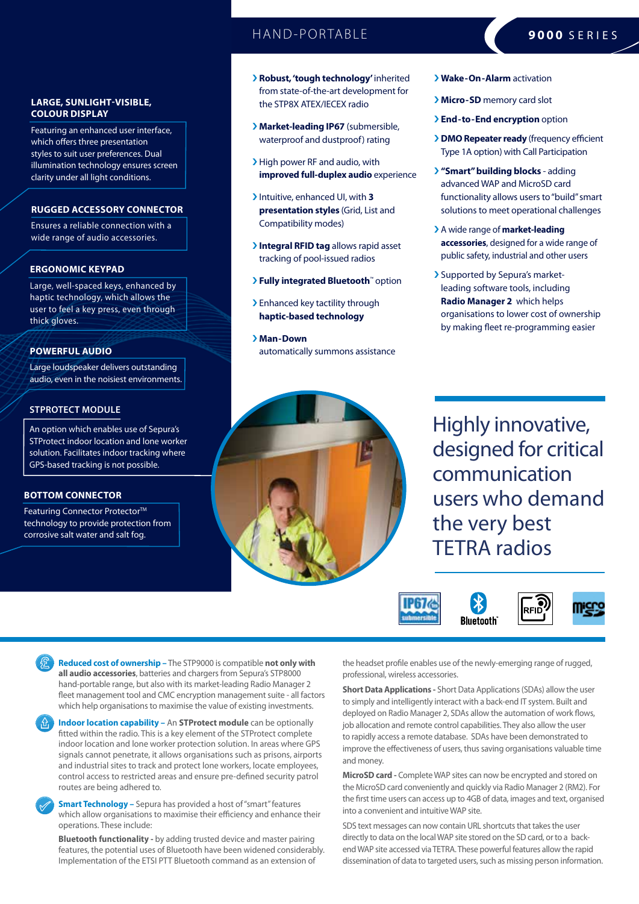### HAND-PORTABLE **9000** SERIES

### **LARGE, SUNLIGHT-VISIBLE, COLOUR DISPLAY**

Featuring an enhanced user interface, which offers three presentation styles to suit user preferences. Dual illumination technology ensures screen clarity under all light conditions.

### **RUGGED ACCESSORY CONNECTOR**

Ensures a reliable connection with a wide range of audio accessories.

### **ERGONOMIC KEYPAD**

Large, well-spaced keys, enhanced by haptic technology, which allows the user to feel a key press, even through thick gloves.

### **POWERFUL AUDIO**

Large loudspeaker delivers outstanding audio, even in the noisiest environments.

### **STPROTECT MODULE**

An option which enables use of Sepura's STProtect indoor location and lone worker solution. Facilitates indoor tracking where GPS-based tracking is not possible.

### **BOTTOM CONNECTOR**

Featuring Connector Protector<sup>™</sup> technology to provide protection from corrosive salt water and salt fog.

- › **Robust, 'tough technology'** inherited from state-of-the-art development for the STP8X ATEX/IECEX radio
- › **Market-leading IP67** (submersible, waterproof and dustproof) rating
- › High power RF and audio, with **improved full-duplex audio** experience
- › Intuitive, enhanced UI, with **3 presentation styles** (Grid, List and Compatibility modes)
- › **Integral RFID tag** allows rapid asset tracking of pool-issued radios
- › **Fully integrated Bluetooth**™ option
- > Enhanced key tactility through **haptic-based technology**
- › **Man-Down** automatically summons assistance
- › **Wake-On-Alarm** activation
- › **Micro-SD** memory card slot
- › **End-to-End encryption** option
- › **DMO Repeater ready** (frequency efficient Type 1A option) with Call Participation
- › **"Smart" building blocks** adding advanced WAP and MicroSD card functionality allows users to "build" smart solutions to meet operational challenges
- › A wide range of **market-leading accessories**, designed for a wide range of public safety, industrial and other users
- › Supported by Sepura's marketleading software tools, including **Radio Manager 2** which helps organisations to lower cost of ownership by making fleet re-programming easier



Highly innovative, designed for critical communication users who demand the very best TETRA radios



**Reduced cost of ownership –** The STP9000 is compatible **not only with all audio accessories**, batteries and chargers from Sepura's STP8000 hand-portable range, but also with its market-leading Radio Manager 2 fleet management tool and CMC encryption management suite - all factors which help organisations to maximise the value of existing investments.

**Indoor location capability –** An **STProtect module** can be optionally fitted within the radio. This is a key element of the STProtect complete indoor location and lone worker protection solution. In areas where GPS signals cannot penetrate, it allows organisations such as prisons, airports and industrial sites to track and protect lone workers, locate employees, control access to restricted areas and ensure pre-defined security patrol routes are being adhered to.

**Smart Technology -** Sepura has provided a host of "smart" features which allow organisations to maximise their efficiency and enhance their operations. These include:

**Bluetooth functionality -** by adding trusted device and master pairing features, the potential uses of Bluetooth have been widened considerably. Implementation of the ETSI PTT Bluetooth command as an extension of

the headset profile enables use of the newly-emerging range of rugged, professional, wireless accessories.

**Short Data Applications -** Short Data Applications (SDAs) allow the user to simply and intelligently interact with a back-end IT system. Built and deployed on Radio Manager 2, SDAs allow the automation of work flows, job allocation and remote control capabilities. They also allow the user to rapidly access a remote database. SDAs have been demonstrated to improve the effectiveness of users, thus saving organisations valuable time and money.

**MicroSD card -** Complete WAP sites can now be encrypted and stored on the MicroSD card conveniently and quickly via Radio Manager 2 (RM2). For the first time users can access up to 4GB of data, images and text, organised into a convenient and intuitive WAP site.

SDS text messages can now contain URL shortcuts that takes the user directly to data on the local WAP site stored on the SD card, or to a backend WAP site accessed via TETRA. These powerful features allow the rapid dissemination of data to targeted users, such as missing person information.